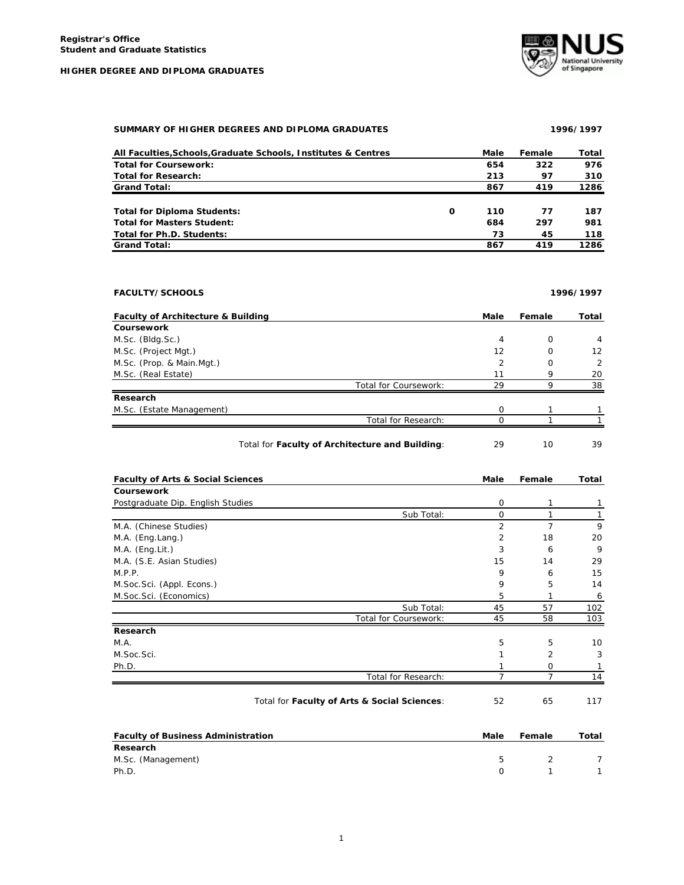

## SUMMARY OF HIGHER DEGREES AND DIPLOMA GRADUATES **1996/1997**

| All Faculties, Schools, Graduate Schools, Institutes & Centres |   | Male | Female | Total |
|----------------------------------------------------------------|---|------|--------|-------|
| <b>Total for Coursework:</b>                                   |   | 654  | 322    | 976   |
| <b>Total for Research:</b>                                     |   | 213  | 97     | 310   |
| <b>Grand Total:</b>                                            |   | 867  | 419    | 1286  |
|                                                                |   |      |        |       |
| Total for Diploma Students:                                    | O | 110  | 77     | 187   |
| <b>Total for Masters Student:</b>                              |   | 684  | 297    | 981   |
| Total for Ph.D. Students:                                      |   | 73   | 45     | 118   |
| <b>Grand Total:</b>                                            |   | 867  | 419    | 1286  |

| <b>FACULTY/SCHOOLS</b> | 1996/1997 |
|------------------------|-----------|
|                        |           |

| <b>Faculty of Architecture &amp; Building</b> |                                                 | Male | Female | Total |
|-----------------------------------------------|-------------------------------------------------|------|--------|-------|
| Coursework                                    |                                                 |      |        |       |
| M.Sc. (Bldg.Sc.)                              |                                                 | 4    | O      | 4     |
| M.Sc. (Project Mgt.)                          |                                                 | 12   | Ω      | 12    |
| M.Sc. (Prop. & Main.Mgt.)                     |                                                 | 2    | 0      | 2     |
| M.Sc. (Real Estate)                           |                                                 | 11   | 9      | 20    |
|                                               | Total for Coursework:                           | 29   | q      | 38    |
| Research                                      |                                                 |      |        |       |
| M.Sc. (Estate Management)                     |                                                 | O    |        |       |
|                                               | Total for Research:                             |      |        |       |
|                                               | Total for Faculty of Architecture and Building: | 29   | 10     | 39    |

| <b>Faculty of Arts &amp; Social Sciences</b> |                                              | Male           | Female         | Total |
|----------------------------------------------|----------------------------------------------|----------------|----------------|-------|
| <b>Coursework</b>                            |                                              |                |                |       |
| Postgraduate Dip. English Studies            |                                              | $\mathbf 0$    | 1              |       |
|                                              | Sub Total:                                   | 0              | 1              |       |
| M.A. (Chinese Studies)                       |                                              | $\overline{2}$ | 7              | 9     |
| M.A. (Eng.Lang.)                             |                                              | 2              | 18             | 20    |
| $M.A.$ (Eng. Lit.)                           |                                              | 3              | 6              | 9     |
| M.A. (S.E. Asian Studies)                    |                                              | 15             | 14             | 29    |
| M.P.P.                                       |                                              | 9              | 6              | 15    |
| M.Soc.Sci. (Appl. Econs.)                    |                                              | 9              | 5              | 14    |
| M.Soc.Sci. (Economics)                       |                                              | 5              |                | 6     |
|                                              | Sub Total:                                   | 45             | 57             | 102   |
|                                              | Total for Coursework:                        | 45             | 58             | 103   |
| Research                                     |                                              |                |                |       |
| M.A.                                         |                                              | 5              | 5              | 10    |
| M.Soc.Sci.                                   |                                              |                | $\overline{2}$ | 3     |
| Ph.D.                                        |                                              |                | O              |       |
|                                              | Total for Research:                          |                | 7              | 14    |
|                                              | Total for Faculty of Arts & Social Sciences: | 52             | 65             | 117   |

| <b>Faculty of Business Administration</b> | Male         | Female | Total |
|-------------------------------------------|--------------|--------|-------|
| Research                                  |              |        |       |
| M.Sc. (Management)                        | $\mathbf{h}$ | - 2    |       |
| Ph.D.                                     |              |        |       |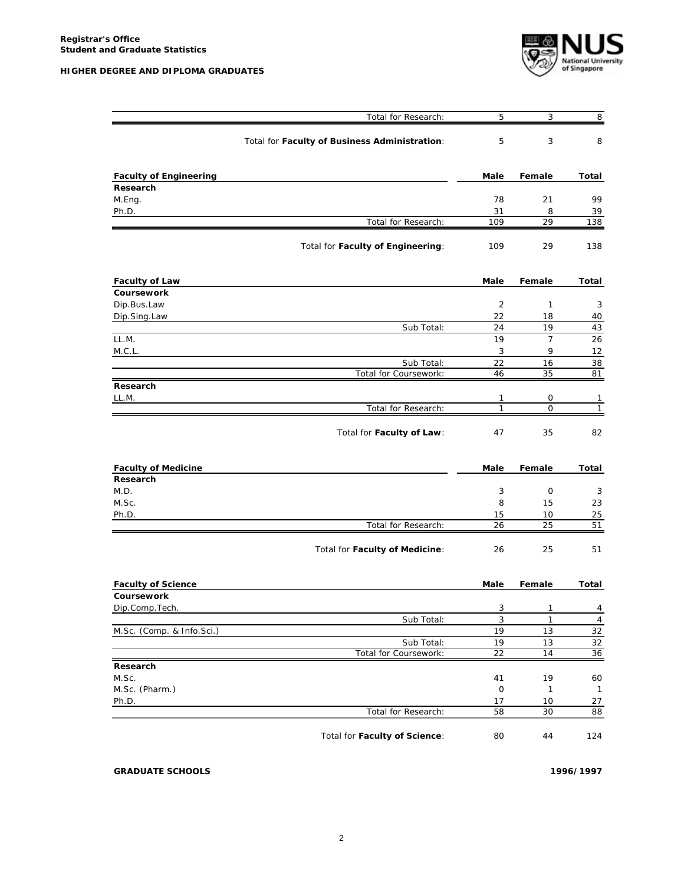

|                               | Total for Research:                           | 5              | 3                   | 8              |
|-------------------------------|-----------------------------------------------|----------------|---------------------|----------------|
|                               | Total for Faculty of Business Administration: | 5              | 3                   | 8              |
| <b>Faculty of Engineering</b> |                                               | Male           | Female              | Total          |
| Research                      |                                               |                |                     |                |
| M.Eng.                        |                                               | 78             | 21                  | 99             |
| Ph.D.                         |                                               | 31             | 8                   | 39             |
|                               | Total for Research:                           | 109            | 29                  | 138            |
|                               | Total for Faculty of Engineering:             | 109            | 29                  | 138            |
| <b>Faculty of Law</b>         |                                               | Male           | Female              | Total          |
| Coursework                    |                                               |                |                     |                |
| Dip.Bus.Law                   |                                               | 2              | $\mathbf{1}$        | 3              |
| Dip.Sing.Law                  |                                               | 22             | 18                  | 40             |
|                               | Sub Total:                                    | 24             | 19                  | 43             |
| LL.M.<br>M.C.L.               |                                               | 19<br>3        | $\overline{7}$<br>9 | 26             |
|                               | Sub Total:                                    | 22             | 16                  | 12<br>38       |
|                               | Total for Coursework:                         | 46             | 35                  | 81             |
| Research                      |                                               |                |                     |                |
| LL.M.                         |                                               | 1              | 0                   | 1              |
|                               | Total for Research:                           | 1              | $\Omega$            | $\mathbf{1}$   |
|                               | Total for Faculty of Law:                     | 47             | 35                  | 82             |
| <b>Faculty of Medicine</b>    |                                               | Male           | Female              | Total          |
| Research                      |                                               |                |                     |                |
| M.D.                          |                                               | 3              | 0                   | 3              |
| M.Sc.                         |                                               | 8              | 15                  | 23             |
| Ph.D.                         |                                               | 15             | 10                  | 25             |
|                               | Total for Research:                           | 26             | 25                  | 51             |
|                               | Total for Faculty of Medicine:                | 26             | 25                  | 51             |
| <b>Faculty of Science</b>     |                                               | Male           | Female              | Total          |
| <b>Coursework</b>             |                                               |                |                     |                |
| Dip.Comp.Tech.                |                                               | 3              | 1                   | 4              |
|                               | Sub Total:                                    | $\overline{3}$ | $\mathbf{1}$        | $\overline{4}$ |
| M.Sc. (Comp. & Info.Sci.)     |                                               | 19             | 13                  | 32             |
|                               | Sub Total:<br>Total for Coursework:           | 19<br>22       | 13<br>14            | 32             |
|                               |                                               |                |                     | 36             |
| Research<br>M.Sc.             |                                               | 41             | 19                  | 60             |
| M.Sc. (Pharm.)                |                                               | $\mathsf O$    | 1                   | $\mathbf{1}$   |
| Ph.D.                         |                                               | 17             | 10                  | 27             |
|                               | Total for Research:                           | 58             | 30                  | 88             |
|                               | Total for Faculty of Science:                 | 80             | 44                  | 124            |

**GRADUATE SCHOOLS 1996/1997**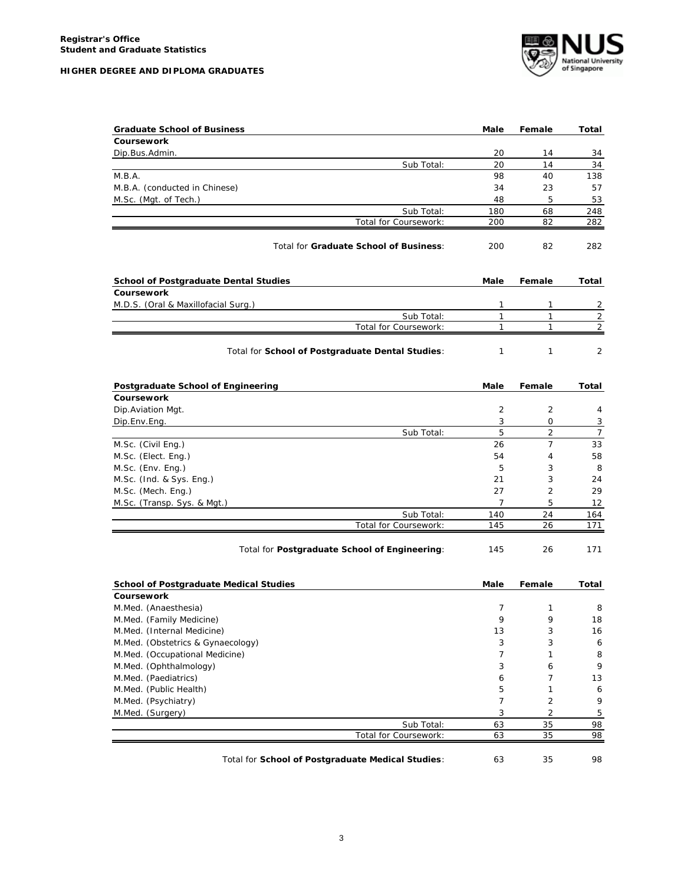

| <b>Graduate School of Business</b>               | Male         | Female         | Total                 |
|--------------------------------------------------|--------------|----------------|-----------------------|
| Coursework                                       |              |                |                       |
| Dip.Bus.Admin.                                   | 20           | 14             | 34                    |
| Sub Total:                                       | 20           | 14             | 34                    |
| M.B.A.                                           | 98           | 40             | 138                   |
| M.B.A. (conducted in Chinese)                    | 34           | 23             | 57                    |
| M.Sc. (Mgt. of Tech.)                            | 48           | 5              | 53                    |
| Sub Total:                                       | 180          | 68             | 248                   |
| Total for Coursework:                            | 200          | 82             | 282                   |
| Total for Graduate School of Business:           | 200          | 82             | 282                   |
| <b>School of Postgraduate Dental Studies</b>     | Male         | Female         | Total                 |
| <b>Coursework</b>                                |              |                |                       |
| M.D.S. (Oral & Maxillofacial Surg.)              | 1            | 1              | 2                     |
| Sub Total:                                       | $\mathbf{1}$ | $\mathbf{1}$   | 2                     |
| Total for Coursework:                            | 1            | 1              | $\overline{2}$        |
| Total for School of Postgraduate Dental Studies: | 1            | 1              | 2                     |
| <b>Postgraduate School of Engineering</b>        | Male         | Female         | Total                 |
| Coursework                                       |              |                |                       |
| Dip. Aviation Mgt.                               | 2            | 2              | 4                     |
| Dip.Env.Eng.                                     | 3            | 0              | 3                     |
| Sub Total:                                       | 5            | $\overline{2}$ | $\overline{7}$        |
| M.Sc. (Civil Eng.)                               | 26           | $\overline{7}$ | 33                    |
| M.Sc. (Elect. Eng.)                              | 54           | 4              | 58                    |
| M.Sc. (Env. Eng.)                                | 5            | 3              | 8                     |
| M.Sc. (Ind. & Sys. Eng.)                         | 21           | 3              | 24                    |
| M.Sc. (Mech. Eng.)                               | 27           | 2              | 29                    |
| M.Sc. (Transp. Sys. & Mgt.)                      | 7            | 5              | 12                    |
| Sub Total:                                       | 140          | 24             | 164                   |
| Total for Coursework:                            | 145          | 26             | 171                   |
| Total for Postgraduate School of Engineering:    | 145          | 26             | 171                   |
| <b>School of Postgraduate Medical Studies</b>    | Male         | Female         | Total                 |
| Coursework                                       |              |                |                       |
| M.Med. (Anaesthesia)                             | 7            | 1              | 8                     |
| M.Med. (Family Medicine)                         | 9            | 9              | 18                    |
| M.Med. (Internal Medicine)                       | 13           | 3              | 16                    |
| M.Med. (Obstetrics & Gynaecology)                | 3            | 3              | 6                     |
| M.Med. (Occupational Medicine)                   | 7            | 1              | 8                     |
| M.Med. (Ophthalmology)                           | 3            | 6              | 9                     |
| M.Med. (Paediatrics)                             | 6            | $\overline{7}$ | 13                    |
| M.Med. (Public Health)                           | 5            | 1              | 6                     |
| M.Med. (Psychiatry)                              | 7            | $\overline{c}$ | 9                     |
|                                                  |              | $\overline{2}$ | 5                     |
| M.Med. (Surgery)                                 | 3            |                |                       |
| Sub Total:                                       | 63           | 35             | 98<br>$\overline{98}$ |

Total for **School of Postgraduate Medical Studies**: 63 35 98